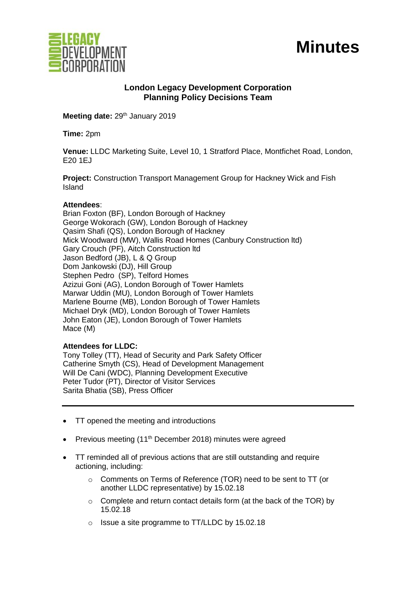

# **Minutes**

## **London Legacy Development Corporation Planning Policy Decisions Team**

Meeting date: 29<sup>th</sup> January 2019

**Time:** 2pm

**Venue:** LLDC Marketing Suite, Level 10, 1 Stratford Place, Montfichet Road, London, E20 1EJ

**Project:** Construction Transport Management Group for Hackney Wick and Fish Island

#### **Attendees**:

Brian Foxton (BF), London Borough of Hackney George Wokorach (GW), London Borough of Hackney Qasim Shafi (QS), London Borough of Hackney Mick Woodward (MW), Wallis Road Homes (Canbury Construction ltd) Gary Crouch (PF), Aitch Construction ltd Jason Bedford (JB), L & Q Group Dom Jankowski (DJ), Hill Group Stephen Pedro (SP), Telford Homes Azizui Goni (AG), London Borough of Tower Hamlets Marwar Uddin (MU), London Borough of Tower Hamlets Marlene Bourne (MB), London Borough of Tower Hamlets Michael Dryk (MD), London Borough of Tower Hamlets John Eaton (JE), London Borough of Tower Hamlets Mace (M)

#### **Attendees for LLDC:**

Tony Tolley (TT), Head of Security and Park Safety Officer Catherine Smyth (CS), Head of Development Management Will De Cani (WDC), Planning Development Executive Peter Tudor (PT), Director of Visitor Services Sarita Bhatia (SB), Press Officer

- TT opened the meeting and introductions
- Previous meeting  $(11<sup>th</sup>$  December 2018) minutes were agreed
- TT reminded all of previous actions that are still outstanding and require actioning, including:
	- o Comments on Terms of Reference (TOR) need to be sent to TT (or another LLDC representative) by 15.02.18
	- o Complete and return contact details form (at the back of the TOR) by 15.02.18
	- o Issue a site programme to TT/LLDC by 15.02.18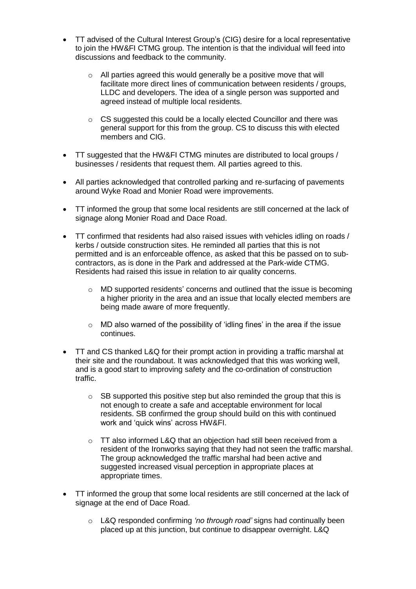- TT advised of the Cultural Interest Group's (CIG) desire for a local representative to join the HW&FI CTMG group. The intention is that the individual will feed into discussions and feedback to the community.
	- o All parties agreed this would generally be a positive move that will facilitate more direct lines of communication between residents / groups, LLDC and developers. The idea of a single person was supported and agreed instead of multiple local residents.
	- o CS suggested this could be a locally elected Councillor and there was general support for this from the group. CS to discuss this with elected members and CIG.
- TT suggested that the HW&FI CTMG minutes are distributed to local groups / businesses / residents that request them. All parties agreed to this.
- All parties acknowledged that controlled parking and re-surfacing of pavements around Wyke Road and Monier Road were improvements.
- TT informed the group that some local residents are still concerned at the lack of signage along Monier Road and Dace Road.
- TT confirmed that residents had also raised issues with vehicles idling on roads / kerbs / outside construction sites. He reminded all parties that this is not permitted and is an enforceable offence, as asked that this be passed on to subcontractors, as is done in the Park and addressed at the Park-wide CTMG. Residents had raised this issue in relation to air quality concerns.
	- $\circ$  MD supported residents' concerns and outlined that the issue is becoming a higher priority in the area and an issue that locally elected members are being made aware of more frequently.
	- o MD also warned of the possibility of 'idling fines' in the area if the issue continues.
- TT and CS thanked L&Q for their prompt action in providing a traffic marshal at their site and the roundabout. It was acknowledged that this was working well, and is a good start to improving safety and the co-ordination of construction traffic.
	- $\circ$  SB supported this positive step but also reminded the group that this is not enough to create a safe and acceptable environment for local residents. SB confirmed the group should build on this with continued work and 'quick wins' across HW&FI.
	- o TT also informed L&Q that an objection had still been received from a resident of the Ironworks saying that they had not seen the traffic marshal. The group acknowledged the traffic marshal had been active and suggested increased visual perception in appropriate places at appropriate times.
- TT informed the group that some local residents are still concerned at the lack of signage at the end of Dace Road.
	- o L&Q responded confirming *'no through road'* signs had continually been placed up at this junction, but continue to disappear overnight. L&Q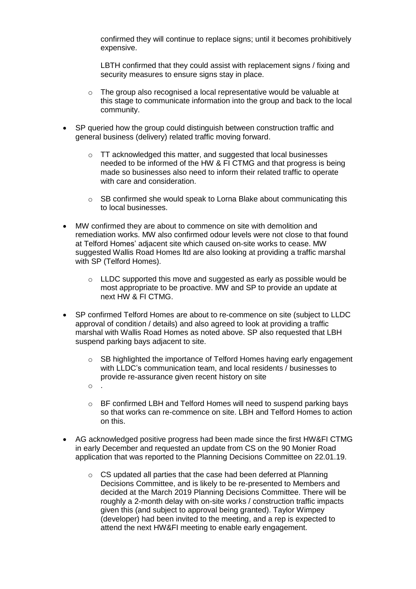confirmed they will continue to replace signs; until it becomes prohibitively expensive.

LBTH confirmed that they could assist with replacement signs / fixing and security measures to ensure signs stay in place.

- $\circ$  The group also recognised a local representative would be valuable at this stage to communicate information into the group and back to the local community.
- SP queried how the group could distinguish between construction traffic and general business (delivery) related traffic moving forward.
	- TT acknowledged this matter, and suggested that local businesses needed to be informed of the HW & FI CTMG and that progress is being made so businesses also need to inform their related traffic to operate with care and consideration.
	- $\circ$  SB confirmed she would speak to Lorna Blake about communicating this to local businesses.
- MW confirmed they are about to commence on site with demolition and remediation works. MW also confirmed odour levels were not close to that found at Telford Homes' adjacent site which caused on-site works to cease. MW suggested Wallis Road Homes ltd are also looking at providing a traffic marshal with SP (Telford Homes).
	- o LLDC supported this move and suggested as early as possible would be most appropriate to be proactive. MW and SP to provide an update at next HW & FI CTMG.
- SP confirmed Telford Homes are about to re-commence on site (subject to LLDC approval of condition / details) and also agreed to look at providing a traffic marshal with Wallis Road Homes as noted above. SP also requested that LBH suspend parking bays adjacent to site.
	- $\circ$  SB highlighted the importance of Telford Homes having early engagement with LLDC's communication team, and local residents / businesses to provide re-assurance given recent history on site
	- o BF confirmed LBH and Telford Homes will need to suspend parking bays so that works can re-commence on site. LBH and Telford Homes to action on this.

 $\circ$ 

- AG acknowledged positive progress had been made since the first HW&FI CTMG in early December and requested an update from CS on the 90 Monier Road application that was reported to the Planning Decisions Committee on 22.01.19.
	- o CS updated all parties that the case had been deferred at Planning Decisions Committee, and is likely to be re-presented to Members and decided at the March 2019 Planning Decisions Committee. There will be roughly a 2-month delay with on-site works / construction traffic impacts given this (and subject to approval being granted). Taylor Wimpey (developer) had been invited to the meeting, and a rep is expected to attend the next HW&FI meeting to enable early engagement.